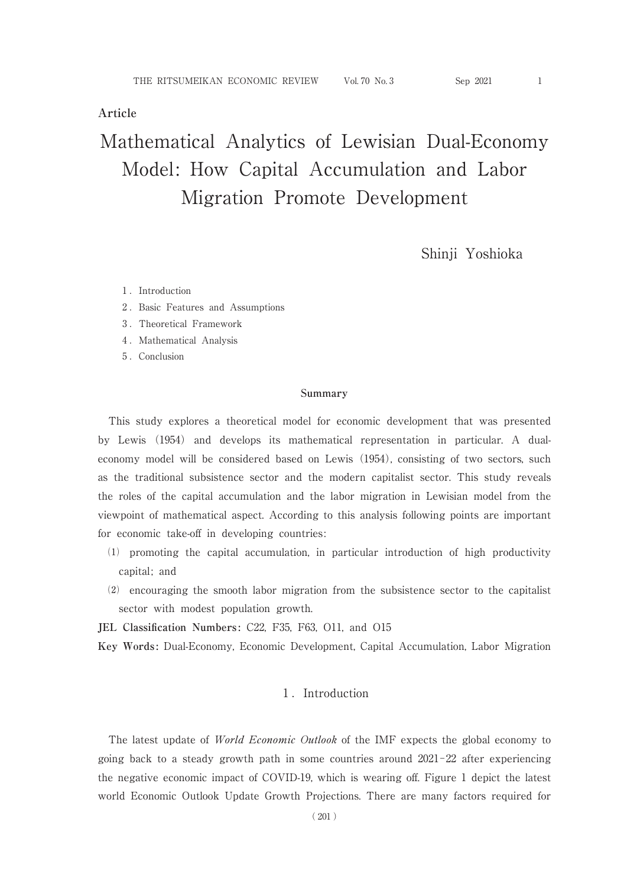## **Article**

# Mathematical Analytics of Lewisian Dual-Economy Model: How Capital Accumulation and Labor Migration Promote Development

Shinji Yoshioka

- 1. Introduction
- .Basic Features and Assumptions
- .Theoretical Framework
- 4. Mathematical Analysis
- .Conclusion

#### **Summary**

This study explores a theoretical model for economic development that was presented by Lewis (1954) and develops its mathematical representation in particular. A dualeconomy model will be considered based on Lewis (1954), consisting of two sectors, such as the traditional subsistence sector and the modern capitalist sector. This study reveals the roles of the capital accumulation and the labor migration in Lewisian model from the viewpoint of mathematical aspect. According to this analysis following points are important for economic take-off in developing countries :

- ⑴ promoting the capital accumulation, in particular introduction of high productivity capital; and
- ⑵ encouraging the smooth labor migration from the subsistence sector to the capitalist sector with modest population growth.

**JEL Classification Numbers:** C22, F35, F63, O11, and O15

**Key Words:** Dual-Economy, Economic Development, Capital Accumulation, Labor Migration

### 1. Introduction

The latest update of World Economic Outlook of the IMF expects the global economy to going back to a steady growth path in some countries around  $2021 - 22$  after experiencing the negative economic impact of COVID-19, which is wearing off. Figure 1 depict the latest world Economic Outlook Update Growth Projections. There are many factors required for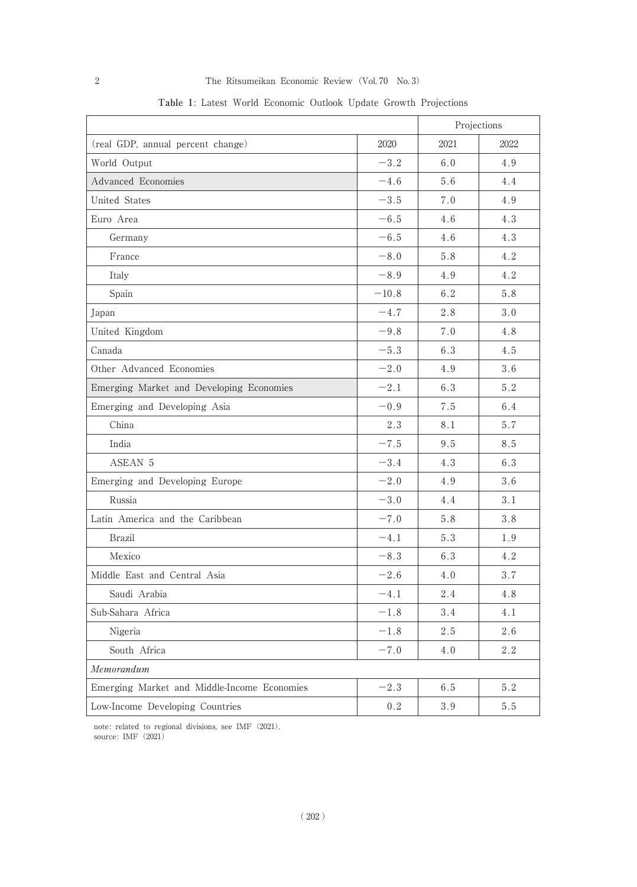|                                             |         | Projections |      |
|---------------------------------------------|---------|-------------|------|
| (real GDP, annual percent change)           | 2020    | 2021        | 2022 |
| World Output                                | $-3.2$  | 6.0         | 4.9  |
| Advanced Economies                          | $-4.6$  | 5.6         | 4.4  |
| United States                               | $-3.5$  | 7.0         | 4.9  |
| Euro Area                                   | $-6.5$  | 4.6         | 4.3  |
| Germany                                     | $-6.5$  | 4.6         | 4.3  |
| France                                      | $-8.0$  | 5.8         | 4.2  |
| Italy                                       | $-8.9$  | 4.9         | 4.2  |
| Spain                                       | $-10.8$ | 6.2         | 5.8  |
| Japan                                       | $-4.7$  | 2.8         | 3.0  |
| United Kingdom                              | $-9.8$  | 7.0         | 4.8  |
| Canada                                      | $-5.3$  | 6.3         | 4.5  |
| Other Advanced Economies                    | $-2.0$  | 4.9         | 3.6  |
| Emerging Market and Developing Economies    | $-2.1$  | 6.3         | 5.2  |
| Emerging and Developing Asia                | $-0.9$  | 7.5         | 6.4  |
| China                                       | 2.3     | 8.1         | 5.7  |
| India                                       | $-7.5$  | 9.5         | 8.5  |
| ASEAN 5                                     | $-3.4$  | 4.3         | 6.3  |
| Emerging and Developing Europe              | $-2.0$  | 4.9         | 3.6  |
| Russia                                      | $-3.0$  | 4.4         | 3.1  |
| Latin America and the Caribbean             | $-7.0$  | 5.8         | 3.8  |
| <b>Brazil</b>                               | $-4.1$  | 5.3         | 1.9  |
| Mexico                                      | $-8.3$  | 6.3         | 4.2  |
| Middle East and Central Asia                | $-2.6$  | 4.0         | 3.7  |
| Saudi Arabia                                | $-4.1$  | 2.4         | 4.8  |
| Sub-Sahara Africa                           | $-1.8$  | 3.4         | 4.1  |
| Nigeria                                     | $-1.8$  | 2.5         | 2.6  |
| South Africa                                | $-7.0$  | 4.0         | 2.2  |
| Memorandum                                  |         |             |      |
| Emerging Market and Middle-Income Economies | $-2.3$  | 6.5         | 5.2  |
| Low-Income Developing Countries             | 0.2     | 3.9         | 5.5  |

**Table 1**: Latest World Economic Outlook Update Growth Projections

note: related to regional divisions, see IMF (2021). source: IMF (2021)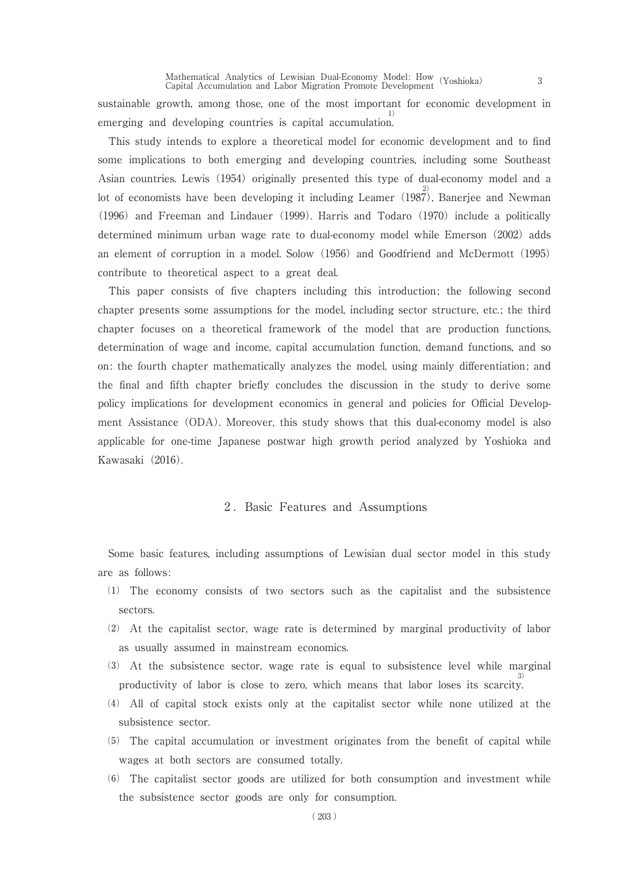sustainable growth, among those, one of the most important for economic development in emerging and developing countries is capital accumulation 1) .

This study intends to explore a theoretical model for economic development and to find some implications to both emerging and developing countries, including some Southeast Asian countries. Lewis (1954) originally presented this type of dual-economy model and a lot of economists have been developing it including Leamer (1987), Banerjee and Newman (1996) and Freeman and Lindauer (1999). Harris and Todaro (1970) include a politically determined minimum urban wage rate to dual-economy model while Emerson (2002) adds an element of corruption in a model. Solow (1956) and Goodfriend and McDermott (1995) contribute to theoretical aspect to a great deal.

This paper consists of five chapters including this introduction; the following second chapter presents some assumptions for the model, including sector structure, etc. ; the third chapter focuses on a theoretical framework of the model that are production functions, determination of wage and income, capital accumulation function, demand functions, and so on: the fourth chapter mathematically analyzes the model, using mainly differentiation; and the final and fifth chapter briefly concludes the discussion in the study to derive some policy implications for development economics in general and policies for Official Development Assistance (ODA). Moreover, this study shows that this dual-economy model is also applicable for one-time Japanese postwar high growth period analyzed by Yoshioka and Kawasaki (2016).

#### 2. Basic Features and Assumptions

Some basic features, including assumptions of Lewisian dual sector model in this study are as follows :

- ⑴ The economy consists of two sectors such as the capitalist and the subsistence sectors.
- ⑵ At the capitalist sector, wage rate is determined by marginal productivity of labor as usually assumed in mainstream economics.
- ⑶ At the subsistence sector, wage rate is equal to subsistence level while marginal productivity of labor is close to zero, which means that labor loses its scarcity 3) .
- ⑷ All of capital stock exists only at the capitalist sector while none utilized at the subsistence sector.
- ⑸ The capital accumulation or investment originates from the benefit of capital while wages at both sectors are consumed totally.
- ⑹ The capitalist sector goods are utilized for both consumption and investment while the subsistence sector goods are only for consumption.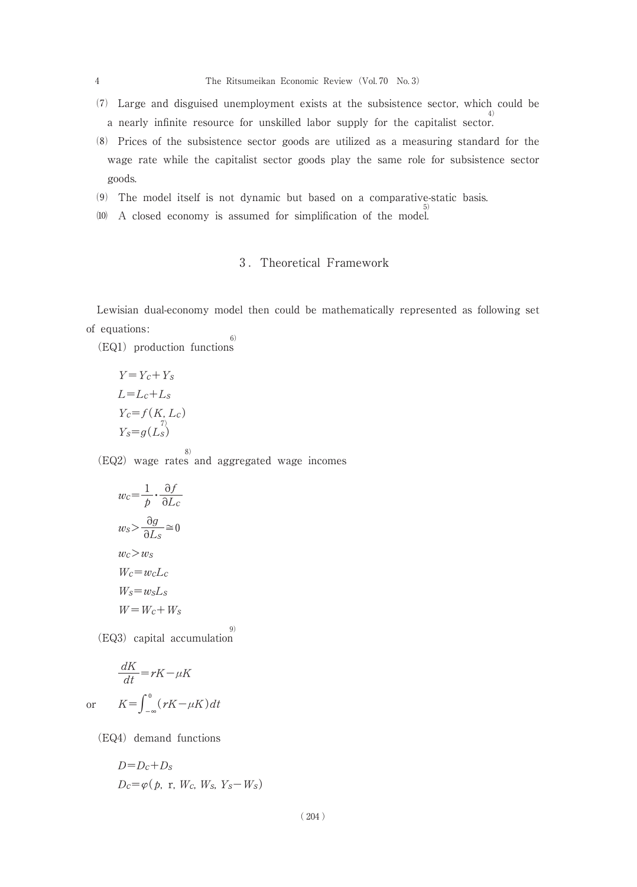- ⑺ Large and disguised unemployment exists at the subsistence sector, which could be a nearly infinite resource for unskilled labor supply for the capitalist sector 4) .
- ⑻ Prices of the subsistence sector goods are utilized as a measuring standard for the wage rate while the capitalist sector goods play the same role for subsistence sector goods.
- ⑼ The model itself is not dynamic but based on a comparative-static basis.
- ⑽ A closed economy is assumed for simplification of the model 5) .

## .Theoretical Framework

Lewisian dual-economy model then could be mathematically represented as following set of equations : 6)

(EQ1) production functions

$$
Y = Y_c + Y_s
$$
  
\n
$$
L = L_c + L_s
$$
  
\n
$$
Y_c = f(K, L_c)
$$
  
\n
$$
Y_s = g(L_s)
$$

(EQ2) wage rates and aggregated wage incomes

8)

$$
w_c = \frac{1}{p} \cdot \frac{\partial f}{\partial L_c}
$$

$$
w_s > \frac{\partial g}{\partial L_s} \approx 0
$$

$$
w_c > w_s
$$

$$
W_c = w_c L_c
$$

$$
W_s = w_s L_s
$$

$$
W = W_c + W_s
$$

(EQ3) capital accumulation 9)

$$
\frac{dK}{dt} = rK - \mu K
$$
  
or 
$$
K = \int_{-\infty}^{0} (rK - \mu K) dt
$$

(EQ4) demand functions

$$
D=D_c+D_s
$$
  

$$
D_c=\varphi(p, r, W_c, W_s, Y_s-W_s)
$$

( 204 )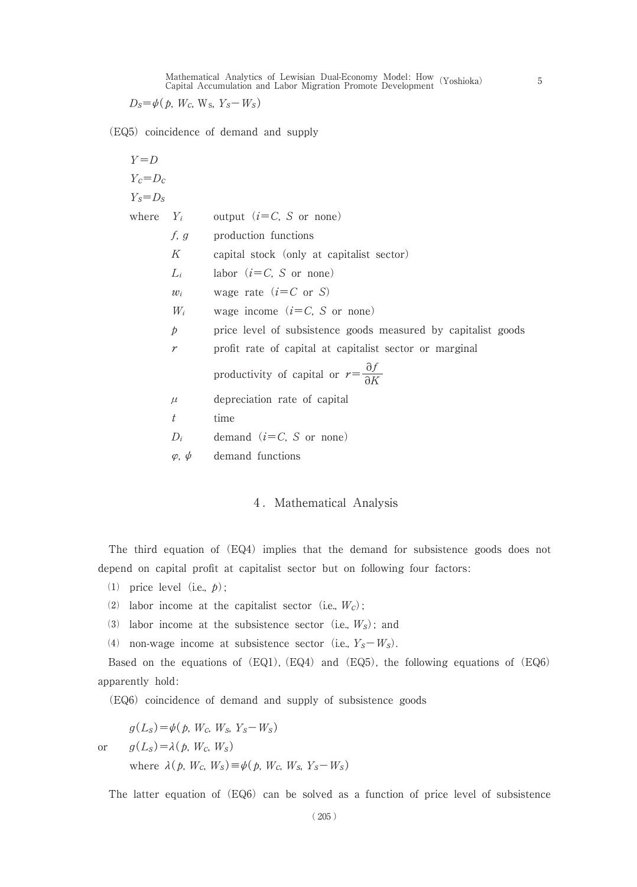Mathematical Analytics of Lewisian Dual-Economy Model : How Capital Accumulation and Labor Migration Promote Development(Yoshioka) 5

 $D_s = \phi$  (*b*, *W<sub>c</sub>*, W<sub>s</sub>, *Y<sub>s</sub>*  $-W_s$ )

(EQ5) coincidence of demand and supply

| $Y = D$                                                           |
|-------------------------------------------------------------------|
| $Y_c = D_c$                                                       |
| $Y_s = D_s$                                                       |
| where $Y_i$ output $(i = C, S \text{ or none})$                   |
| $f, g$ production functions                                       |
| $K$ capital stock (only at capitalist sector)                     |
| $L_i$ labor $(i = C, S \text{ or none})$                          |
| $w_i$ wage rate $(i = C \text{ or } S)$                           |
| $W_i$ wage income $(i = C, S \text{ or none})$                    |
| $p$ price level of subsistence goods measured by capitalist goods |
| $r$ profit rate of capital at capitalist sector or marginal       |
| $p$ production rate of capital                                    |
| $\mu$ depreciation rate of capital                                |
| $t$ time                                                          |
| $D_i$ demand $(i = C, S \text{ or none})$                         |
| $\varphi, \psi$ demand functions                                  |

## 4. Mathematical Analysis

The third equation of (EQ4) implies that the demand for subsistence goods does not depend on capital profit at capitalist sector but on following four factors:

- (1) price level (i.e.,  $p$ );
- (2) labor income at the capitalist sector (i.e.,  $W_c$ );
- (3) labor income at the subsistence sector (i.e.,  $W_s$ ); and
- (4) non-wage income at subsistence sector (i.e.,  $Y_s-W_s$ ).

Based on the equations of (EQ1), (EQ4) and (EQ5), the following equations of (EQ6) apparently hold:

(EQ6) coincidence of demand and supply of subsistence goods

$$
g(LS) = \phi(p, WC, WS, YS - WS)
$$
  
or 
$$
g(LS) = \lambda(p, WC, WS)
$$
  
where  $\lambda(p, WC, WS) \equiv \phi(p, WC, WS, YS - WS)$ 

The latter equation of (EQ6) can be solved as a function of price level of subsistence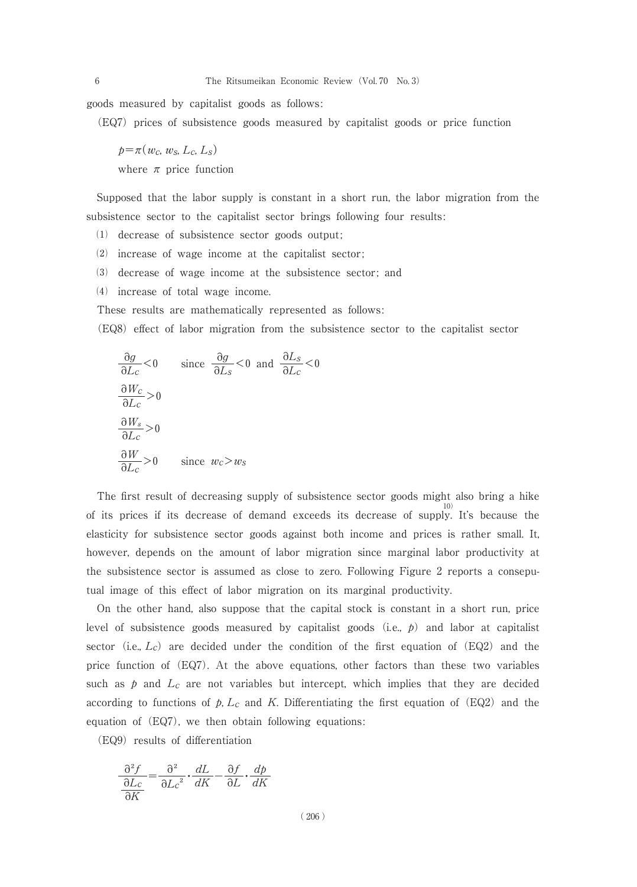goods measured by capitalist goods as follows:

(EQ7) prices of subsistence goods measured by capitalist goods or price function

 $p=\pi(w_c, w_s, L_c, L_s)$ where  $\pi$  price function

Supposed that the labor supply is constant in a short run, the labor migration from the subsistence sector to the capitalist sector brings following four results :

- (1) decrease of subsistence sector goods output;
- ⑵ increase of wage income at the capitalist sector ;
- ⑶ decrease of wage income at the subsistence sector ; and
- ⑷ increase of total wage income.

These results are mathematically represented as follows:

(EQ8) effect of labor migration from the subsistence sector to the capitalist sector

<0

$$
\frac{\partial g}{\partial L_c} < 0 \quad \text{since } \frac{\partial g}{\partial L_s} < 0 \text{ and } \frac{\partial L_s}{\partial L_c} < 0
$$
  

$$
\frac{\partial W_c}{\partial L_c} > 0
$$
  

$$
\frac{\partial W_s}{\partial L_c} > 0 \quad \text{since } w_c > w_s
$$

The first result of decreasing supply of subsistence sector goods might also bring a hike of its prices if its decrease of demand exceeds its decrease of supply . It's because the elasticity for subsistence sector goods against both income and prices is rather small. It, however, depends on the amount of labor migration since marginal labor productivity at the subsistence sector is assumed as close to zero. Following Figure 2 reports a conseputual image of this effect of labor migration on its marginal productivity.

On the other hand, also suppose that the capital stock is constant in a short run, price level of subsistence goods measured by capitalist goods (i.e.,  $p$ ) and labor at capitalist sector (i.e.,  $L_c$ ) are decided under the condition of the first equation of (EQ2) and the price function of (EQ7). At the above equations, other factors than these two variables such as  $p$  and  $L_c$  are not variables but intercept, which implies that they are decided according to functions of  $p$ ,  $L_c$  and K. Differentiating the first equation of (EQ2) and the equation of (EQ7), we then obtain following equations:

(EQ9) results of differentiation

$$
\frac{\partial^2 f}{\partial L_c} = \frac{\partial^2}{\partial L_c^2} \cdot \frac{dL}{dK} - \frac{\partial f}{\partial L} \cdot \frac{d\phi}{dK}
$$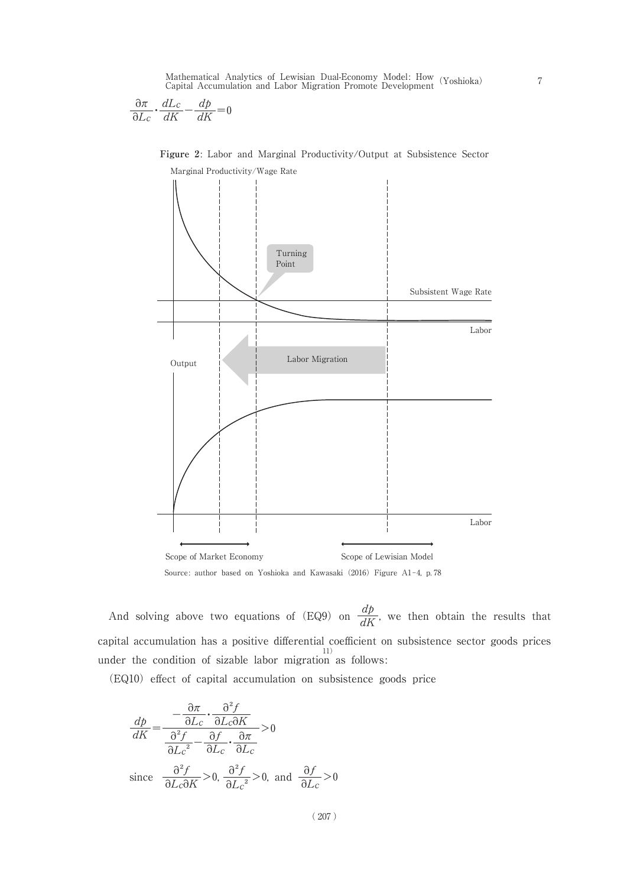$$
\frac{\partial \pi}{\partial L_c} \cdot \frac{dL_c}{dK} - \frac{dp}{dK} = 0
$$



**Figure 2**: Labor and Marginal Productivity/Output at Subsistence Sector

And solving above two equations of (EQ9) on  $\frac{dp}{dK}$ , we then obtain the results that capital accumulation has a positive differential coefficient on subsistence sector goods prices 11) under the condition of sizable labor migration as follows:

(EQ10) effect of capital accumulation on subsistence goods price

$$
\frac{dp}{dK} = \frac{-\frac{\partial \pi}{\partial L_c} \cdot \frac{\partial^2 f}{\partial L_c \partial K}}{\frac{\partial^2 f}{\partial L_c^2} - \frac{\partial f}{\partial L_c} \cdot \frac{\partial \pi}{\partial L_c}} > 0
$$
\nsince  $\frac{\frac{\partial^2 f}{\partial L_c \partial K}}{\frac{\partial^2 f}{\partial L_c \partial K}} > 0$ ,  $\frac{\partial^2 f}{\partial L_c^2} > 0$ , and  $\frac{\partial f}{\partial L_c} > 0$ 

( 207 )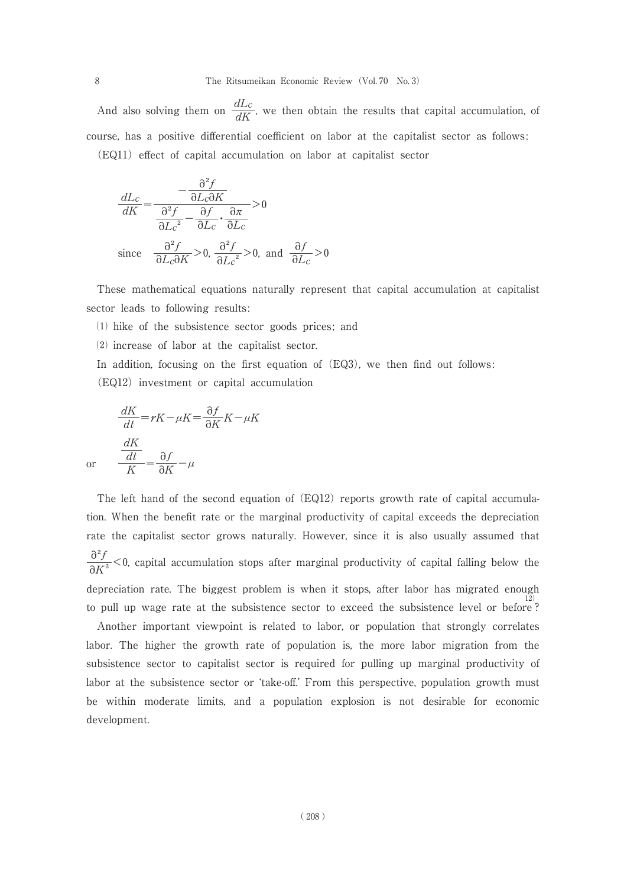And also solving them on  $\frac{dL_c}{dK}$ , we then obtain the results that capital accumulation, of course, has a positive differential coefficient on labor at the capitalist sector as follows : (EQ11) effect of capital accumulation on labor at capitalist sector

$$
\frac{dL_c}{dK} = \frac{-\frac{\partial^2 f}{\partial L_c \partial K}}{\frac{\partial^2 f}{\partial L_c^2} - \frac{\partial f}{\partial L_c} \cdot \frac{\partial \pi}{\partial L_c}} > 0
$$
\nsince  $\frac{\partial^2 f}{\partial L_c \partial K} > 0$ ,  $\frac{\partial^2 f}{\partial L_c^2} > 0$ , and  $\frac{\partial f}{\partial L_c} > 0$ 

These mathematical equations naturally represent that capital accumulation at capitalist sector leads to following results:

 $(1)$  hike of the subsistence sector goods prices; and

⑵ increase of labor at the capitalist sector.

In addition, focusing on the first equation of (EQ3), we then find out follows:

(EQ12) investment or capital accumulation

$$
\frac{dK}{dt} = rK - \mu K = \frac{\partial f}{\partial K} K - \mu K
$$
  
or 
$$
\frac{dK}{K} = \frac{\partial f}{\partial K} - \mu
$$

The left hand of the second equation of (EQ12) reports growth rate of capital accumulation. When the benefit rate or the marginal productivity of capital exceeds the depreciation rate the capitalist sector grows naturally. However, since it is also usually assumed that  $\frac{\partial^2 f}{\partial K^2}$  < 0, capital accumulation stops after marginal productivity of capital falling below the depreciation rate. The biggest problem is when it stops, after labor has migrated enough 12) to pull up wage rate at the subsistence sector to exceed the subsistence level or before ?

Another important viewpoint is related to labor, or population that strongly correlates labor. The higher the growth rate of population is, the more labor migration from the subsistence sector to capitalist sector is required for pulling up marginal productivity of labor at the subsistence sector or ʻtake-off.' From this perspective, population growth must be within moderate limits, and a population explosion is not desirable for economic development.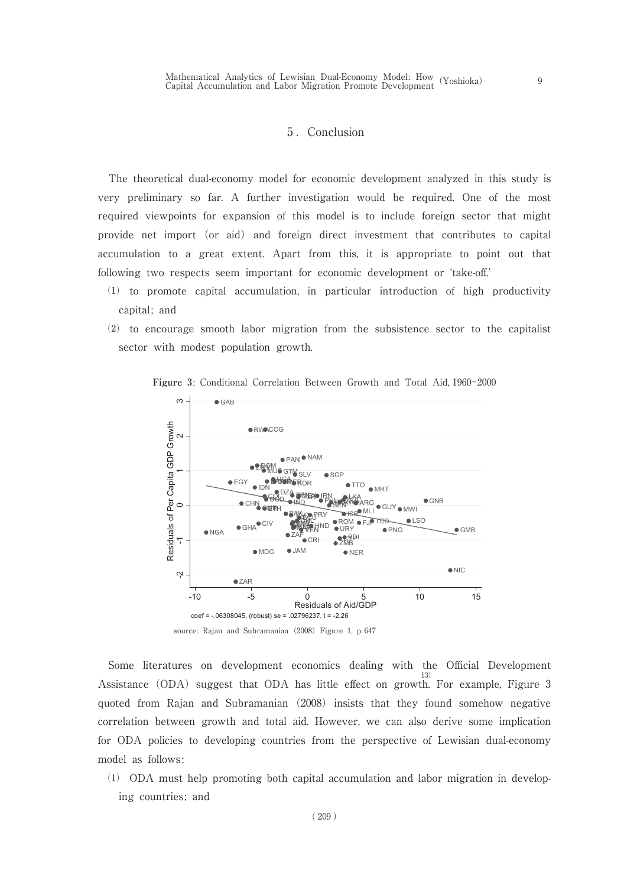## 5. Conclusion

The theoretical dual-economy model for economic development analyzed in this study is very preliminary so far. A further investigation would be required. One of the most required viewpoints for expansion of this model is to include foreign sector that might provide net import (or aid) and foreign direct investment that contributes to capital accumulation to a great extent. Apart from this, it is appropriate to point out that following two respects seem important for economic development or ʻtake-off.'

- ⑴ to promote capital accumulation, in particular introduction of high productivity capital; and
- ⑵ to encourage smooth labor migration from the subsistence sector to the capitalist sector with modest population growth.



Figure 3: Conditional Correlation Between Growth and Total Aid, 1960-2000

Some literatures on development economics dealing with the Official Development Assistance (ODA) suggest that ODA has little effect on growth. For example, Figure 3 quoted from Rajan and Subramanian (2008) insists that they found somehow negative correlation between growth and total aid. However, we can also derive some implication for ODA policies to developing countries from the perspective of Lewisian dual-economy model as follows :

⑴ ODA must help promoting both capital accumulation and labor migration in developing countries; and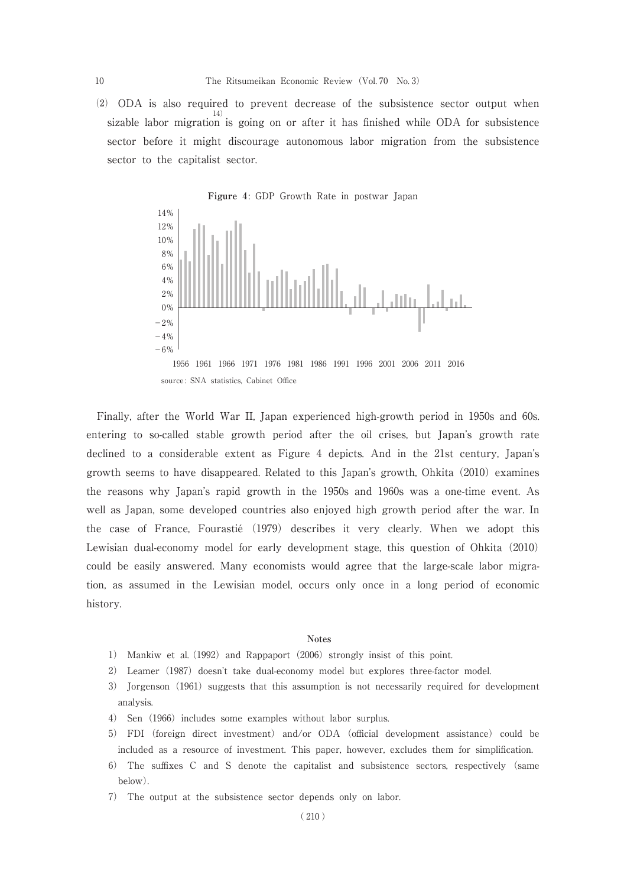⑵ ODA is also required to prevent decrease of the subsistence sector output when sizable labor migration is going on or after it has finished while ODA for subsistence sector before it might discourage autonomous labor migration from the subsistence sector to the capitalist sector.



Finally, after the World War II, Japan experienced high-growth period in 1950s and 60s. entering to so-called stable growth period after the oil crises, but Japan's growth rate declined to a considerable extent as Figure 4 depicts. And in the 21st century, Japan's growth seems to have disappeared. Related to this Japan's growth, Ohkita (2010) examines the reasons why Japan's rapid growth in the 1950s and 1960s was a one-time event. As well as Japan, some developed countries also enjoyed high growth period after the war. In the case of France, Fourastié (1979) describes it very clearly. When we adopt this Lewisian dual-economy model for early development stage, this question of Ohkita (2010) could be easily answered. Many economists would agree that the large-scale labor migration, as assumed in the Lewisian model, occurs only once in a long period of economic history.

#### **Notes**

- 1) Mankiw et al. (1992) and Rappaport (2006) strongly insist of this point.
- 2) Leamer (1987) doesn't take dual-economy model but explores three-factor model.
- 3) Jorgenson (1961) suggests that this assumption is not necessarily required for development analysis.
- 4) Sen (1966) includes some examples without labor surplus.
- 5) FDI (foreign direct investment) and/or ODA (official development assistance) could be included as a resource of investment. This paper, however, excludes them for simplification.
- 6) The suffixes C and S denote the capitalist and subsistence sectors, respectively (same below).
- 7) The output at the subsistence sector depends only on labor.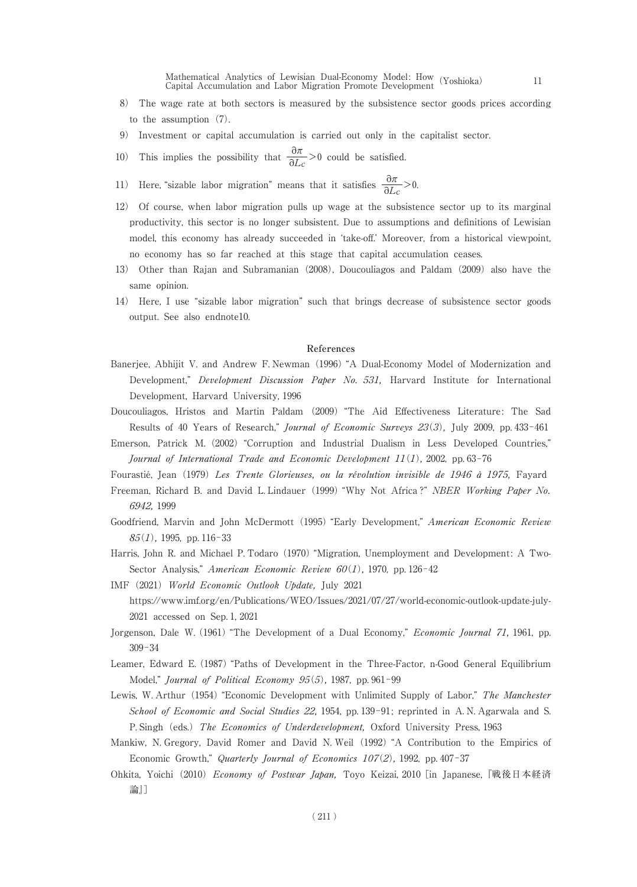Mathematical Analytics of Lewisian Dual-Economy Model: How Mathematical Analytics of Lewisian Dual-Economy Model: How (Yoshioka) 11<br>Capital Accumulation and Labor Migration Promote Development

- 8) The wage rate at both sectors is measured by the subsistence sector goods prices according to the assumption (7).
- 9) Investment or capital accumulation is carried out only in the capitalist sector.
- 10) This implies the possibility that  $\frac{\partial \pi}{\partial L_c} > 0$  could be satisfied.
- 11) Here, "sizable labor migration" means that it satisfies  $\frac{\partial \pi}{\partial L_c} > 0$ .
- 12) Of course, when labor migration pulls up wage at the subsistence sector up to its marginal productivity, this sector is no longer subsistent. Due to assumptions and definitions of Lewisian model, this economy has already succeeded in ʻtake-off.' Moreover, from a historical viewpoint, no economy has so far reached at this stage that capital accumulation ceases.
- 13) Other than Rajan and Subramanian (2008), Doucouliagos and Paldam (2009) also have the same opinion.
- 14) Here, I use "sizable labor migration" such that brings decrease of subsistence sector goods output. See also endnote10.

#### **References**

- Banerjee, Abhijit V. and Andrew F. Newman (1996) "A Dual-Economy Model of Modernization and Development," Development Discussion Paper No. 531, Harvard Institute for International Development, Harvard University, 1996
- Doucouliagos, Hristos and Martin Paldam (2009) "The Aid Effectiveness Literature : The Sad Results of 40 Years of Research," Journal of Economic Surveys 23(3), July 2009, pp. 433-461
- Emerson, Patrick M. (2002) "Corruption and Industrial Dualism in Less Developed Countries," Journal of International Trade and Economic Development  $11(1)$ , 2002, pp. 63-76

Fourastié, Jean (1979) Les Trente Glorieuses, ou la révolution invisible de 1946 à 1975, Fayard

- Freeman, Richard B. and David L. Lindauer (1999) "Why Not Africa ?" NBER Working Paper No. 6942, 1999
- Goodfriend, Marvin and John McDermott (1995) "Early Development," American Economic Review  $85(1)$ , 1995, pp. 116-33
- Harris, John R. and Michael P. Todaro (1970) "Migration, Unemployment and Development : A Two-Sector Analysis," American Economic Review  $60(1)$ , 1970, pp. 126-42
- IMF (2021) World Economic Outlook Update, July 2021 https://www.imf.org/en/Publications/WEO/Issues/2021/07/27/world-economic-outlook-update-july-2021 accessed on Sep. 1, 2021
- Jorgenson, Dale W. (1961) "The Development of a Dual Economy," *Economic Journal 71*, 1961, pp.  $309 - 34$
- Leamer, Edward E. (1987) "Paths of Development in the Three-Factor, n-Good General Equilibrium Model," Journal of Political Economy  $95(5)$ , 1987, pp. 961-99
- Lewis, W. Arthur (1954) "Economic Development with Unlimited Supply of Labor," The Manchester School of Economic and Social Studies 22, 1954, pp. 139-91; reprinted in A.N. Agarwala and S. P. Singh (eds.) The Economics of Underdevelopment, Oxford University Press, 1963
- Mankiw, N. Gregory, David Romer and David N. Weil (1992) "A Contribution to the Empirics of Economic Growth," Quarterly Journal of Economics 107(2), 1992, pp. 407-37
- Ohkita, Yoichi (2010) *Economy of Postwar Japan*, Toyo Keizai, 2010 [in Japanese, 『戦後日本経済 論』]